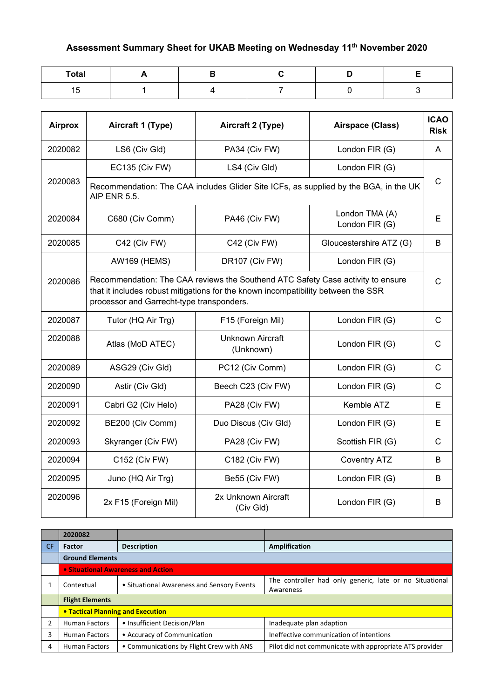## **Assessment Summary Sheet for UKAB Meeting on Wednesday 11th November 2020**

| <b>Total</b> |  |  |  |
|--------------|--|--|--|
| --<br>15     |  |  |  |

| <b>Airprox</b> | Aircraft 1 (Type)                                                                                                                                                                                                 | Aircraft 2 (Type)                    | Airspace (Class)                 | <b>ICAO</b><br><b>Risk</b> |  |  |
|----------------|-------------------------------------------------------------------------------------------------------------------------------------------------------------------------------------------------------------------|--------------------------------------|----------------------------------|----------------------------|--|--|
| 2020082        | LS6 (Civ Gld)                                                                                                                                                                                                     | PA34 (Civ FW)                        | London FIR (G)                   | A                          |  |  |
|                | <b>EC135 (Civ FW)</b>                                                                                                                                                                                             | LS4 (Civ Gld)                        | London FIR (G)                   |                            |  |  |
| 2020083        | Recommendation: The CAA includes Glider Site ICFs, as supplied by the BGA, in the UK<br><b>AIP ENR 5.5.</b>                                                                                                       |                                      |                                  |                            |  |  |
| 2020084        | C680 (Civ Comm)                                                                                                                                                                                                   | PA46 (Civ FW)                        | London TMA (A)<br>London FIR (G) | E                          |  |  |
| 2020085        | C42 (Civ FW)                                                                                                                                                                                                      | C42 (Civ FW)                         | Gloucestershire ATZ (G)          | B                          |  |  |
|                | <b>AW169 (HEMS)</b>                                                                                                                                                                                               | DR107 (Civ FW)                       | London FIR (G)                   |                            |  |  |
| 2020086        | Recommendation: The CAA reviews the Southend ATC Safety Case activity to ensure<br>that it includes robust mitigations for the known incompatibility between the SSR<br>processor and Garrecht-type transponders. |                                      |                                  |                            |  |  |
| 2020087        | Tutor (HQ Air Trg)                                                                                                                                                                                                | F15 (Foreign Mil)                    | London FIR (G)                   | $\mathsf{C}$               |  |  |
| 2020088        | Atlas (MoD ATEC)                                                                                                                                                                                                  | <b>Unknown Aircraft</b><br>(Unknown) | London FIR (G)                   | C                          |  |  |
| 2020089        | ASG29 (Civ Gld)                                                                                                                                                                                                   | PC12 (Civ Comm)                      | London FIR (G)                   | $\mathsf{C}$               |  |  |
| 2020090        | Astir (Civ Gld)                                                                                                                                                                                                   | Beech C23 (Civ FW)                   | London FIR (G)                   | $\mathsf{C}$               |  |  |
| 2020091        | Cabri G2 (Civ Helo)                                                                                                                                                                                               | PA28 (Civ FW)                        | Kemble ATZ                       | Е                          |  |  |
| 2020092        | BE200 (Civ Comm)                                                                                                                                                                                                  | Duo Discus (Civ Gld)                 | London FIR (G)                   | E                          |  |  |
| 2020093        | Skyranger (Civ FW)                                                                                                                                                                                                | PA28 (Civ FW)                        | Scottish FIR (G)                 | $\mathsf{C}$               |  |  |
| 2020094        | C152 (Civ FW)                                                                                                                                                                                                     | C182 (Civ FW)                        | <b>Coventry ATZ</b>              | B                          |  |  |
| 2020095        | Juno (HQ Air Trg)                                                                                                                                                                                                 | Be55 (Civ FW)                        | London FIR (G)                   | B                          |  |  |
| 2020096        | 2x F15 (Foreign Mil)                                                                                                                                                                                              | 2x Unknown Aircraft<br>(Civ Gld)     | London FIR (G)                   | B                          |  |  |

|    | 2020082                           |                                            |                                                         |
|----|-----------------------------------|--------------------------------------------|---------------------------------------------------------|
| CF | Factor                            | <b>Description</b>                         | Amplification                                           |
|    | <b>Ground Elements</b>            |                                            |                                                         |
|    |                                   | • Situational Awareness and Action         |                                                         |
|    | Contextual                        | • Situational Awareness and Sensory Events | The controller had only generic, late or no Situational |
|    |                                   |                                            | Awareness                                               |
|    | <b>Flight Elements</b>            |                                            |                                                         |
|    | • Tactical Planning and Execution |                                            |                                                         |
|    | <b>Human Factors</b>              | • Insufficient Decision/Plan               | Inadequate plan adaption                                |
| 3  | <b>Human Factors</b>              | • Accuracy of Communication                | Ineffective communication of intentions                 |
| 4  | <b>Human Factors</b>              | • Communications by Flight Crew with ANS   | Pilot did not communicate with appropriate ATS provider |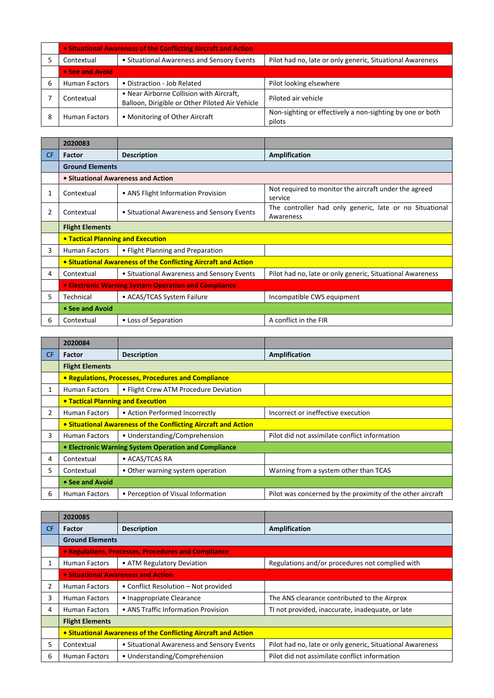|   | • Situational Awareness of the Conflicting Aircraft and Action |                                                                                             |                                                                     |  |
|---|----------------------------------------------------------------|---------------------------------------------------------------------------------------------|---------------------------------------------------------------------|--|
|   | Contextual                                                     | • Situational Awareness and Sensory Events                                                  | Pilot had no, late or only generic, Situational Awareness           |  |
|   | • See and Avoid                                                |                                                                                             |                                                                     |  |
| b | <b>Human Factors</b>                                           | • Distraction - Job Related                                                                 | Pilot looking elsewhere                                             |  |
|   | Contextual                                                     | • Near Airborne Collision with Aircraft,<br>Balloon, Dirigible or Other Piloted Air Vehicle | Piloted air vehicle                                                 |  |
|   | <b>Human Factors</b>                                           | • Monitoring of Other Aircraft                                                              | Non-sighting or effectively a non-sighting by one or both<br>pilots |  |

|                | 2020083                           |                                                                |                                                                      |
|----------------|-----------------------------------|----------------------------------------------------------------|----------------------------------------------------------------------|
| <b>CF</b>      | <b>Factor</b>                     | <b>Description</b>                                             | <b>Amplification</b>                                                 |
|                | <b>Ground Elements</b>            |                                                                |                                                                      |
|                |                                   | • Situational Awareness and Action                             |                                                                      |
| 1              | Contextual                        | • ANS Flight Information Provision                             | Not required to monitor the aircraft under the agreed<br>service     |
| $\overline{2}$ | Contextual                        | • Situational Awareness and Sensory Events                     | The controller had only generic, late or no Situational<br>Awareness |
|                | <b>Flight Elements</b>            |                                                                |                                                                      |
|                | • Tactical Planning and Execution |                                                                |                                                                      |
| 3              | Human Factors                     | • Flight Planning and Preparation                              |                                                                      |
|                |                                   | • Situational Awareness of the Conflicting Aircraft and Action |                                                                      |
| 4              | Contextual                        | • Situational Awareness and Sensory Events                     | Pilot had no, late or only generic, Situational Awareness            |
|                |                                   | • Electronic Warning System Operation and Compliance           |                                                                      |
| 5              | Technical                         | • ACAS/TCAS System Failure                                     | Incompatible CWS equipment                                           |
|                | • See and Avoid                   |                                                                |                                                                      |
| 6              | Contextual                        | • Loss of Separation                                           | A conflict in the FIR                                                |

|     | 2020084                                                        |                                                      |                                                            |  |
|-----|----------------------------------------------------------------|------------------------------------------------------|------------------------------------------------------------|--|
| CF. | <b>Factor</b>                                                  | <b>Description</b>                                   | Amplification                                              |  |
|     | <b>Flight Elements</b>                                         |                                                      |                                                            |  |
|     |                                                                | • Regulations, Processes, Procedures and Compliance  |                                                            |  |
| 1   | Human Factors                                                  | • Flight Crew ATM Procedure Deviation                |                                                            |  |
|     | • Tactical Planning and Execution                              |                                                      |                                                            |  |
| 2   | <b>Human Factors</b>                                           | • Action Performed Incorrectly                       | Incorrect or ineffective execution                         |  |
|     | • Situational Awareness of the Conflicting Aircraft and Action |                                                      |                                                            |  |
| 3   | <b>Human Factors</b>                                           | • Understanding/Comprehension                        | Pilot did not assimilate conflict information              |  |
|     |                                                                | • Electronic Warning System Operation and Compliance |                                                            |  |
| 4   | Contextual                                                     | • ACAS/TCAS RA                                       |                                                            |  |
| 5   | Contextual                                                     | • Other warning system operation                     | Warning from a system other than TCAS                      |  |
|     | • See and Avoid                                                |                                                      |                                                            |  |
| 6   | <b>Human Factors</b>                                           | • Perception of Visual Information                   | Pilot was concerned by the proximity of the other aircraft |  |

|                | 2020085                                                        |                                                     |                                                           |  |
|----------------|----------------------------------------------------------------|-----------------------------------------------------|-----------------------------------------------------------|--|
| CF.            | Factor                                                         | <b>Description</b>                                  | Amplification                                             |  |
|                | <b>Ground Elements</b>                                         |                                                     |                                                           |  |
|                |                                                                | • Regulations, Processes, Procedures and Compliance |                                                           |  |
| 1              | <b>Human Factors</b>                                           | • ATM Regulatory Deviation                          | Regulations and/or procedures not complied with           |  |
|                |                                                                | • Situational Awareness and Action                  |                                                           |  |
| $\overline{2}$ | Human Factors                                                  | • Conflict Resolution – Not provided                |                                                           |  |
| 3              | Human Factors                                                  | • Inappropriate Clearance                           | The ANS clearance contributed to the Airprox              |  |
| 4              | <b>Human Factors</b>                                           | • ANS Traffic Information Provision                 | TI not provided, inaccurate, inadequate, or late          |  |
|                | <b>Flight Elements</b>                                         |                                                     |                                                           |  |
|                | • Situational Awareness of the Conflicting Aircraft and Action |                                                     |                                                           |  |
| 5              | Contextual                                                     | • Situational Awareness and Sensory Events          | Pilot had no, late or only generic, Situational Awareness |  |
| 6              | <b>Human Factors</b>                                           | • Understanding/Comprehension                       | Pilot did not assimilate conflict information             |  |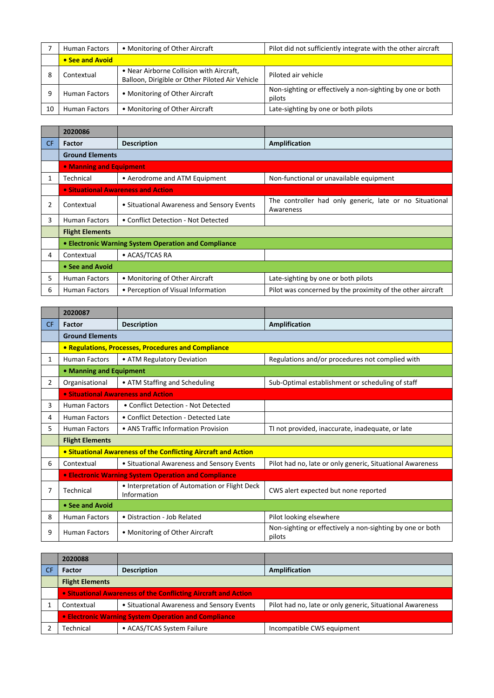|    | <b>Human Factors</b> | • Monitoring of Other Aircraft                                                              | Pilot did not sufficiently integrate with the other aircraft        |
|----|----------------------|---------------------------------------------------------------------------------------------|---------------------------------------------------------------------|
|    | • See and Avoid      |                                                                                             |                                                                     |
|    | Contextual           | • Near Airborne Collision with Aircraft,<br>Balloon, Dirigible or Other Piloted Air Vehicle | Piloted air vehicle                                                 |
|    | <b>Human Factors</b> | • Monitoring of Other Aircraft                                                              | Non-sighting or effectively a non-sighting by one or both<br>pilots |
| 10 | <b>Human Factors</b> | • Monitoring of Other Aircraft                                                              | Late-sighting by one or both pilots                                 |

|                | 2020086                 |                                                      |                                                                      |
|----------------|-------------------------|------------------------------------------------------|----------------------------------------------------------------------|
| CF.            | Factor                  | <b>Description</b>                                   | Amplification                                                        |
|                | <b>Ground Elements</b>  |                                                      |                                                                      |
|                | • Manning and Equipment |                                                      |                                                                      |
|                | Technical               | • Aerodrome and ATM Equipment                        | Non-functional or unavailable equipment                              |
|                |                         | • Situational Awareness and Action                   |                                                                      |
| $\overline{2}$ | Contextual              | • Situational Awareness and Sensory Events           | The controller had only generic, late or no Situational<br>Awareness |
| 3              | <b>Human Factors</b>    | • Conflict Detection - Not Detected                  |                                                                      |
|                | <b>Flight Elements</b>  |                                                      |                                                                      |
|                |                         | • Electronic Warning System Operation and Compliance |                                                                      |
| 4              | Contextual              | • ACAS/TCAS RA                                       |                                                                      |
|                | • See and Avoid         |                                                      |                                                                      |
| 5              | <b>Human Factors</b>    | • Monitoring of Other Aircraft                       | Late-sighting by one or both pilots                                  |
| 6              | <b>Human Factors</b>    | • Perception of Visual Information                   | Pilot was concerned by the proximity of the other aircraft           |

|     | 2020087                 |                                                                |                                                                     |
|-----|-------------------------|----------------------------------------------------------------|---------------------------------------------------------------------|
| CF. | <b>Factor</b>           | <b>Description</b>                                             | <b>Amplification</b>                                                |
|     | <b>Ground Elements</b>  |                                                                |                                                                     |
|     |                         | • Regulations, Processes, Procedures and Compliance            |                                                                     |
| 1   | <b>Human Factors</b>    | • ATM Regulatory Deviation                                     | Regulations and/or procedures not complied with                     |
|     | • Manning and Equipment |                                                                |                                                                     |
| 2   | Organisational          | • ATM Staffing and Scheduling                                  | Sub-Optimal establishment or scheduling of staff                    |
|     |                         | • Situational Awareness and Action                             |                                                                     |
| 3   | <b>Human Factors</b>    | • Conflict Detection - Not Detected                            |                                                                     |
| 4   | <b>Human Factors</b>    | • Conflict Detection - Detected Late                           |                                                                     |
| 5   | <b>Human Factors</b>    | • ANS Traffic Information Provision                            | TI not provided, inaccurate, inadequate, or late                    |
|     | <b>Flight Elements</b>  |                                                                |                                                                     |
|     |                         | • Situational Awareness of the Conflicting Aircraft and Action |                                                                     |
| 6   | Contextual              | • Situational Awareness and Sensory Events                     | Pilot had no, late or only generic, Situational Awareness           |
|     |                         | • Electronic Warning System Operation and Compliance           |                                                                     |
| 7   | Technical               | • Interpretation of Automation or Flight Deck<br>Information   | CWS alert expected but none reported                                |
|     | • See and Avoid         |                                                                |                                                                     |
| 8   | <b>Human Factors</b>    | • Distraction - Job Related                                    | Pilot looking elsewhere                                             |
| 9   | <b>Human Factors</b>    | • Monitoring of Other Aircraft                                 | Non-sighting or effectively a non-sighting by one or both<br>pilots |

| 2020088                                                        |                                            |                                                           |  |
|----------------------------------------------------------------|--------------------------------------------|-----------------------------------------------------------|--|
| <b>Factor</b>                                                  | <b>Description</b>                         | Amplification                                             |  |
| <b>Flight Elements</b>                                         |                                            |                                                           |  |
| • Situational Awareness of the Conflicting Aircraft and Action |                                            |                                                           |  |
| Contextual                                                     | • Situational Awareness and Sensory Events | Pilot had no, late or only generic, Situational Awareness |  |
| <b>• Electronic Warning System Operation and Compliance</b>    |                                            |                                                           |  |
| Technical                                                      | • ACAS/TCAS System Failure                 | Incompatible CWS equipment                                |  |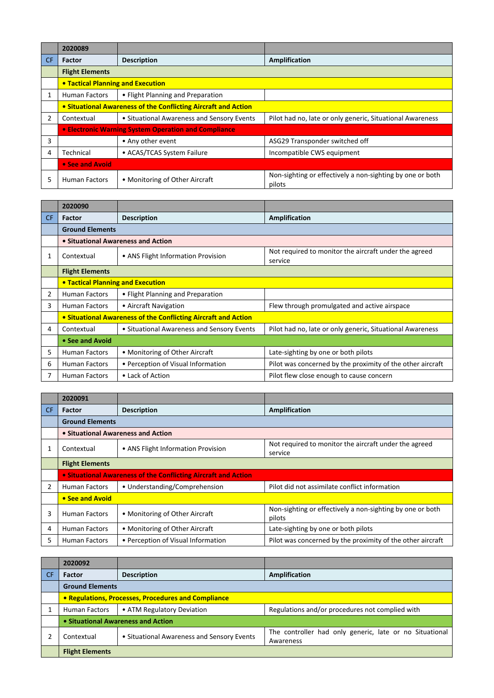|     | 2020089                                                        |                                                      |                                                                     |
|-----|----------------------------------------------------------------|------------------------------------------------------|---------------------------------------------------------------------|
| CF. | <b>Factor</b>                                                  | <b>Description</b>                                   | Amplification                                                       |
|     | <b>Flight Elements</b>                                         |                                                      |                                                                     |
|     | • Tactical Planning and Execution                              |                                                      |                                                                     |
|     | <b>Human Factors</b>                                           | • Flight Planning and Preparation                    |                                                                     |
|     | • Situational Awareness of the Conflicting Aircraft and Action |                                                      |                                                                     |
| 2   | Contextual                                                     | • Situational Awareness and Sensory Events           | Pilot had no, late or only generic, Situational Awareness           |
|     |                                                                | • Electronic Warning System Operation and Compliance |                                                                     |
| 3   |                                                                | • Any other event                                    | ASG29 Transponder switched off                                      |
| 4   | Technical                                                      | • ACAS/TCAS System Failure                           | Incompatible CWS equipment                                          |
|     | • See and Avoid                                                |                                                      |                                                                     |
| 5   | Human Factors                                                  | • Monitoring of Other Aircraft                       | Non-sighting or effectively a non-sighting by one or both<br>pilots |

|     | 2020090                                  |                                                                |                                                                  |
|-----|------------------------------------------|----------------------------------------------------------------|------------------------------------------------------------------|
| CF. | Factor                                   | <b>Description</b>                                             | Amplification                                                    |
|     | <b>Ground Elements</b>                   |                                                                |                                                                  |
|     | • Situational Awareness and Action       |                                                                |                                                                  |
| 1   | Contextual                               | • ANS Flight Information Provision                             | Not required to monitor the aircraft under the agreed<br>service |
|     | <b>Flight Elements</b>                   |                                                                |                                                                  |
|     | <b>• Tactical Planning and Execution</b> |                                                                |                                                                  |
| 2   | <b>Human Factors</b>                     | • Flight Planning and Preparation                              |                                                                  |
| 3   | <b>Human Factors</b>                     | • Aircraft Navigation                                          | Flew through promulgated and active airspace                     |
|     |                                          | • Situational Awareness of the Conflicting Aircraft and Action |                                                                  |
| 4   | Contextual                               | • Situational Awareness and Sensory Events                     | Pilot had no, late or only generic, Situational Awareness        |
|     | • See and Avoid                          |                                                                |                                                                  |
| 5   | <b>Human Factors</b>                     | • Monitoring of Other Aircraft                                 | Late-sighting by one or both pilots                              |
| 6   | <b>Human Factors</b>                     | • Perception of Visual Information                             | Pilot was concerned by the proximity of the other aircraft       |
|     | <b>Human Factors</b>                     | • Lack of Action                                               | Pilot flew close enough to cause concern                         |

|                | 2020091                                                        |                                    |                                                                     |
|----------------|----------------------------------------------------------------|------------------------------------|---------------------------------------------------------------------|
| CF.            | <b>Factor</b>                                                  | <b>Description</b>                 | <b>Amplification</b>                                                |
|                | <b>Ground Elements</b>                                         |                                    |                                                                     |
|                |                                                                | • Situational Awareness and Action |                                                                     |
|                | Contextual                                                     | • ANS Flight Information Provision | Not required to monitor the aircraft under the agreed<br>service    |
|                | <b>Flight Elements</b>                                         |                                    |                                                                     |
|                | • Situational Awareness of the Conflicting Aircraft and Action |                                    |                                                                     |
| $\mathfrak{p}$ | <b>Human Factors</b>                                           | • Understanding/Comprehension      | Pilot did not assimilate conflict information                       |
|                | • See and Avoid                                                |                                    |                                                                     |
| 3              | <b>Human Factors</b>                                           | • Monitoring of Other Aircraft     | Non-sighting or effectively a non-sighting by one or both<br>pilots |
| 4              | <b>Human Factors</b>                                           | • Monitoring of Other Aircraft     | Late-sighting by one or both pilots                                 |
| 5              | <b>Human Factors</b>                                           | • Perception of Visual Information | Pilot was concerned by the proximity of the other aircraft          |

|           | 2020092                                             |                                            |                                                         |
|-----------|-----------------------------------------------------|--------------------------------------------|---------------------------------------------------------|
| <b>CF</b> | <b>Factor</b>                                       | <b>Description</b>                         | Amplification                                           |
|           | <b>Ground Elements</b>                              |                                            |                                                         |
|           | • Regulations, Processes, Procedures and Compliance |                                            |                                                         |
|           | <b>Human Factors</b>                                | • ATM Regulatory Deviation                 | Regulations and/or procedures not complied with         |
|           | • Situational Awareness and Action                  |                                            |                                                         |
|           | Contextual                                          | • Situational Awareness and Sensory Events | The controller had only generic, late or no Situational |
|           |                                                     |                                            | Awareness                                               |
|           | <b>Flight Elements</b>                              |                                            |                                                         |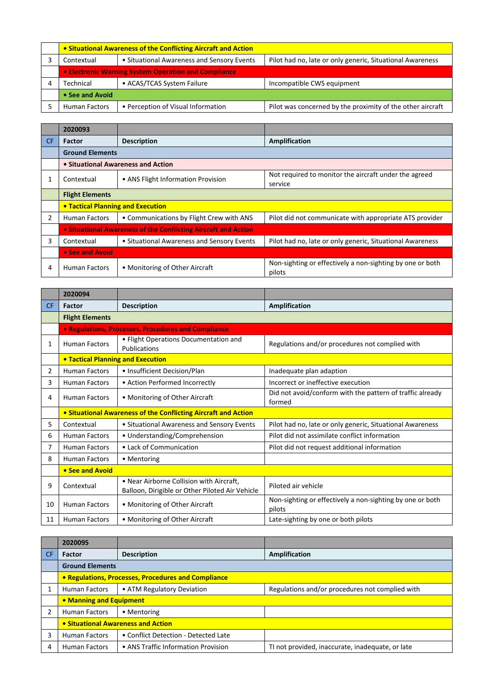| • Situational Awareness of the Conflicting Aircraft and Action |                                            |                                                            |
|----------------------------------------------------------------|--------------------------------------------|------------------------------------------------------------|
| Contextual                                                     | • Situational Awareness and Sensory Events | Pilot had no, late or only generic, Situational Awareness  |
| • Electronic Warning System Operation and Compliance           |                                            |                                                            |
| Technical                                                      | • ACAS/TCAS System Failure                 | Incompatible CWS equipment                                 |
| • See and Avoid                                                |                                            |                                                            |
| <b>Human Factors</b>                                           | • Perception of Visual Information         | Pilot was concerned by the proximity of the other aircraft |

|           | 2020093                                                        |                                            |                                                                     |
|-----------|----------------------------------------------------------------|--------------------------------------------|---------------------------------------------------------------------|
| <b>CF</b> | <b>Factor</b>                                                  | <b>Description</b>                         | Amplification                                                       |
|           | <b>Ground Elements</b>                                         |                                            |                                                                     |
|           |                                                                | • Situational Awareness and Action         |                                                                     |
|           | Contextual                                                     | • ANS Flight Information Provision         | Not required to monitor the aircraft under the agreed<br>service    |
|           | <b>Flight Elements</b>                                         |                                            |                                                                     |
|           | <b>• Tactical Planning and Execution</b>                       |                                            |                                                                     |
| 2         | <b>Human Factors</b>                                           | • Communications by Flight Crew with ANS   | Pilot did not communicate with appropriate ATS provider             |
|           | • Situational Awareness of the Conflicting Aircraft and Action |                                            |                                                                     |
| 3         | Contextual                                                     | • Situational Awareness and Sensory Events | Pilot had no, late or only generic, Situational Awareness           |
|           | • See and Avoid                                                |                                            |                                                                     |
| 4         | Human Factors                                                  | • Monitoring of Other Aircraft             | Non-sighting or effectively a non-sighting by one or both<br>pilots |

|           | 2020094                                                        |                                                                                             |                                                                     |
|-----------|----------------------------------------------------------------|---------------------------------------------------------------------------------------------|---------------------------------------------------------------------|
| <b>CF</b> | Factor                                                         | <b>Description</b>                                                                          | <b>Amplification</b>                                                |
|           | <b>Flight Elements</b>                                         |                                                                                             |                                                                     |
|           |                                                                | • Regulations, Processes, Procedures and Compliance                                         |                                                                     |
| 1         | <b>Human Factors</b>                                           | • Flight Operations Documentation and<br>Publications                                       | Regulations and/or procedures not complied with                     |
|           | <b>. Tactical Planning and Execution</b>                       |                                                                                             |                                                                     |
| 2         | <b>Human Factors</b>                                           | • Insufficient Decision/Plan                                                                | Inadequate plan adaption                                            |
| 3         | <b>Human Factors</b>                                           | • Action Performed Incorrectly                                                              | Incorrect or ineffective execution                                  |
| 4         | <b>Human Factors</b>                                           | • Monitoring of Other Aircraft                                                              | Did not avoid/conform with the pattern of traffic already<br>formed |
|           | • Situational Awareness of the Conflicting Aircraft and Action |                                                                                             |                                                                     |
| 5         | Contextual                                                     | • Situational Awareness and Sensory Events                                                  | Pilot had no, late or only generic, Situational Awareness           |
| 6         | <b>Human Factors</b>                                           | • Understanding/Comprehension                                                               | Pilot did not assimilate conflict information                       |
| 7         | <b>Human Factors</b>                                           | • Lack of Communication                                                                     | Pilot did not request additional information                        |
| 8         | <b>Human Factors</b>                                           | • Mentoring                                                                                 |                                                                     |
|           | • See and Avoid                                                |                                                                                             |                                                                     |
| 9         | Contextual                                                     | • Near Airborne Collision with Aircraft,<br>Balloon, Dirigible or Other Piloted Air Vehicle | Piloted air vehicle                                                 |
| 10        | <b>Human Factors</b>                                           | • Monitoring of Other Aircraft                                                              | Non-sighting or effectively a non-sighting by one or both<br>pilots |
| 11        | <b>Human Factors</b>                                           | • Monitoring of Other Aircraft                                                              | Late-sighting by one or both pilots                                 |

|                | 2020095                            |                                                     |                                                  |
|----------------|------------------------------------|-----------------------------------------------------|--------------------------------------------------|
| CF             | <b>Factor</b>                      | <b>Description</b>                                  | Amplification                                    |
|                | <b>Ground Elements</b>             |                                                     |                                                  |
|                |                                    | • Regulations, Processes, Procedures and Compliance |                                                  |
|                | <b>Human Factors</b>               | • ATM Regulatory Deviation                          | Regulations and/or procedures not complied with  |
|                | • Manning and Equipment            |                                                     |                                                  |
| $\overline{2}$ | <b>Human Factors</b>               | • Mentoring                                         |                                                  |
|                | • Situational Awareness and Action |                                                     |                                                  |
| 3              | <b>Human Factors</b>               | • Conflict Detection - Detected Late                |                                                  |
| 4              | <b>Human Factors</b>               | • ANS Traffic Information Provision                 | TI not provided, inaccurate, inadequate, or late |